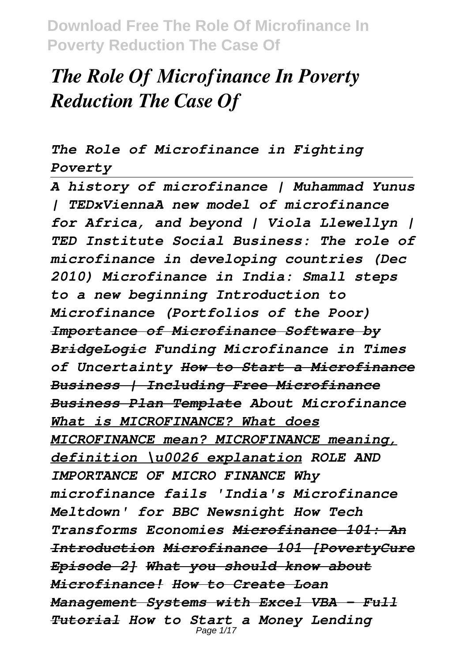# *The Role Of Microfinance In Poverty Reduction The Case Of*

*The Role of Microfinance in Fighting Poverty*

*A history of microfinance | Muhammad Yunus | TEDxViennaA new model of microfinance for Africa, and beyond | Viola Llewellyn | TED Institute Social Business: The role of microfinance in developing countries (Dec 2010) Microfinance in India: Small steps to a new beginning Introduction to Microfinance (Portfolios of the Poor) Importance of Microfinance Software by BridgeLogic Funding Microfinance in Times of Uncertainty How to Start a Microfinance Business | Including Free Microfinance Business Plan Template About Microfinance What is MICROFINANCE? What does MICROFINANCE mean? MICROFINANCE meaning, definition \u0026 explanation ROLE AND IMPORTANCE OF MICRO FINANCE Why microfinance fails 'India's Microfinance Meltdown' for BBC Newsnight How Tech Transforms Economies Microfinance 101: An Introduction Microfinance 101 [PovertyCure Episode 2] What you should know about Microfinance! How to Create Loan Management Systems with Excel VBA - Full Tutorial How to Start a Money Lending* Page 1/17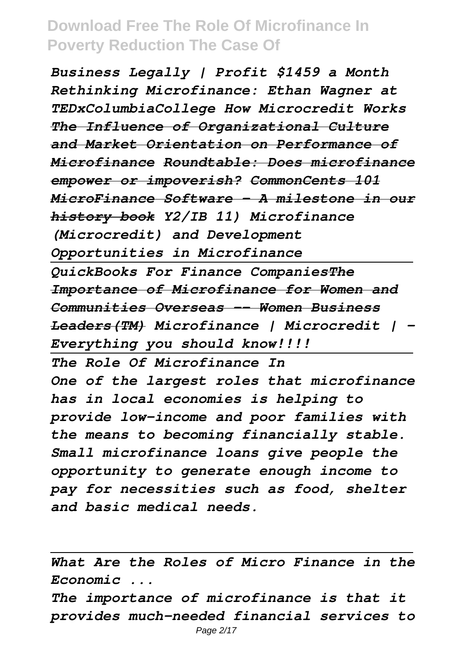*Business Legally | Profit \$1459 a Month Rethinking Microfinance: Ethan Wagner at TEDxColumbiaCollege How Microcredit Works The Influence of Organizational Culture and Market Orientation on Performance of Microfinance Roundtable: Does microfinance empower or impoverish? CommonCents 101 MicroFinance Software - A milestone in our history book Y2/IB 11) Microfinance (Microcredit) and Development Opportunities in Microfinance QuickBooks For Finance CompaniesThe Importance of Microfinance for Women and Communities Overseas -- Women Business Leaders(TM) Microfinance | Microcredit | - Everything you should know!!!! The Role Of Microfinance In One of the largest roles that microfinance has in local economies is helping to provide low-income and poor families with the means to becoming financially stable. Small microfinance loans give people the opportunity to generate enough income to pay for necessities such as food, shelter and basic medical needs.*

*What Are the Roles of Micro Finance in the Economic ...*

*The importance of microfinance is that it provides much-needed financial services to*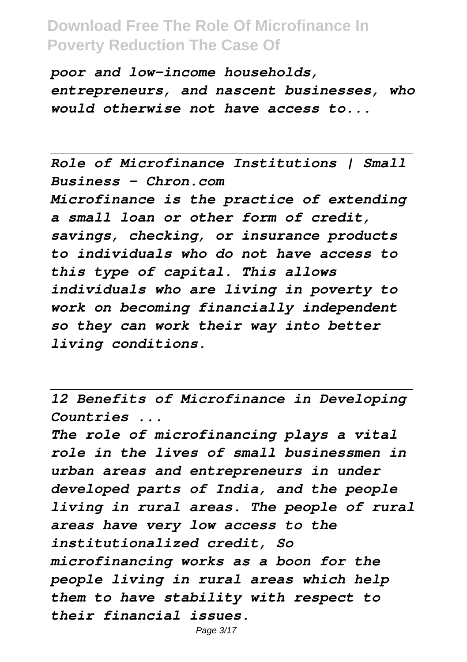*poor and low-income households, entrepreneurs, and nascent businesses, who would otherwise not have access to...*

*Role of Microfinance Institutions | Small Business - Chron.com Microfinance is the practice of extending a small loan or other form of credit, savings, checking, or insurance products to individuals who do not have access to this type of capital. This allows individuals who are living in poverty to work on becoming financially independent so they can work their way into better living conditions.*

*12 Benefits of Microfinance in Developing Countries ...*

*The role of microfinancing plays a vital role in the lives of small businessmen in urban areas and entrepreneurs in under developed parts of India, and the people living in rural areas. The people of rural areas have very low access to the institutionalized credit, So microfinancing works as a boon for the people living in rural areas which help them to have stability with respect to their financial issues.*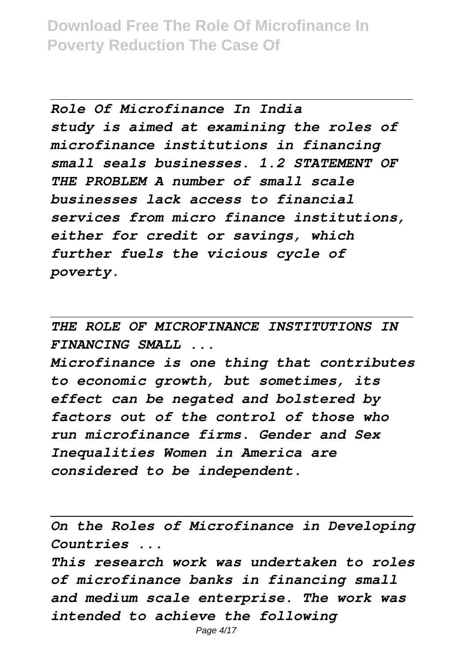*Role Of Microfinance In India study is aimed at examining the roles of microfinance institutions in financing small seals businesses. 1.2 STATEMENT OF THE PROBLEM A number of small scale businesses lack access to financial services from micro finance institutions, either for credit or savings, which further fuels the vicious cycle of poverty.*

*THE ROLE OF MICROFINANCE INSTITUTIONS IN FINANCING SMALL ...*

*Microfinance is one thing that contributes to economic growth, but sometimes, its effect can be negated and bolstered by factors out of the control of those who run microfinance firms. Gender and Sex Inequalities Women in America are considered to be independent.*

*On the Roles of Microfinance in Developing Countries ...*

*This research work was undertaken to roles of microfinance banks in financing small and medium scale enterprise. The work was intended to achieve the following*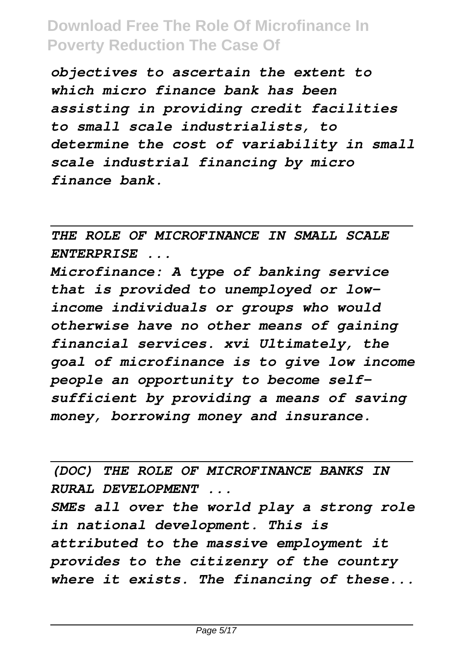*objectives to ascertain the extent to which micro finance bank has been assisting in providing credit facilities to small scale industrialists, to determine the cost of variability in small scale industrial financing by micro finance bank.*

*THE ROLE OF MICROFINANCE IN SMALL SCALE ENTERPRISE ...*

*Microfinance: A type of banking service that is provided to unemployed or lowincome individuals or groups who would otherwise have no other means of gaining financial services. xvi Ultimately, the goal of microfinance is to give low income people an opportunity to become selfsufficient by providing a means of saving money, borrowing money and insurance.*

*(DOC) THE ROLE OF MICROFINANCE BANKS IN RURAL DEVELOPMENT ... SMEs all over the world play a strong role in national development. This is attributed to the massive employment it provides to the citizenry of the country where it exists. The financing of these...*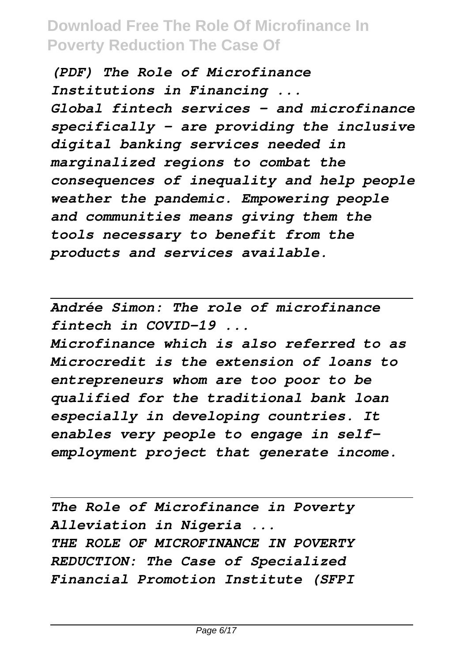*(PDF) The Role of Microfinance Institutions in Financing ... Global fintech services – and microfinance specifically – are providing the inclusive digital banking services needed in marginalized regions to combat the consequences of inequality and help people weather the pandemic. Empowering people and communities means giving them the tools necessary to benefit from the products and services available.*

*Andrée Simon: The role of microfinance fintech in COVID-19 ...*

*Microfinance which is also referred to as Microcredit is the extension of loans to entrepreneurs whom are too poor to be qualified for the traditional bank loan especially in developing countries. It enables very people to engage in selfemployment project that generate income.*

*The Role of Microfinance in Poverty Alleviation in Nigeria ... THE ROLE OF MICROFINANCE IN POVERTY REDUCTION: The Case of Specialized Financial Promotion Institute (SFPI*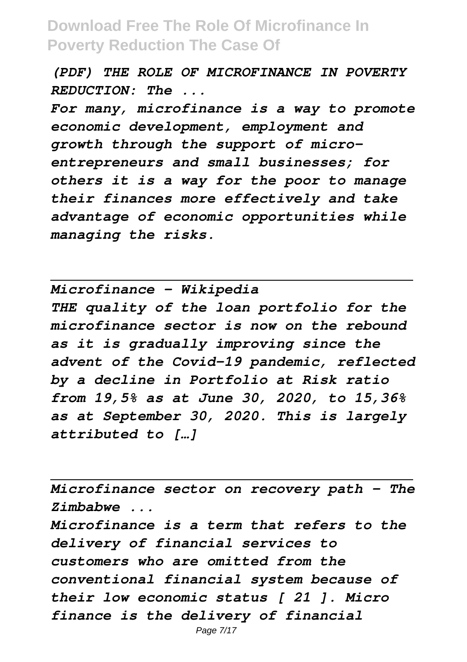*(PDF) THE ROLE OF MICROFINANCE IN POVERTY REDUCTION: The ...*

*For many, microfinance is a way to promote economic development, employment and growth through the support of microentrepreneurs and small businesses; for others it is a way for the poor to manage their finances more effectively and take advantage of economic opportunities while managing the risks.*

*Microfinance - Wikipedia THE quality of the loan portfolio for the microfinance sector is now on the rebound as it is gradually improving since the advent of the Covid-19 pandemic, reflected by a decline in Portfolio at Risk ratio from 19,5% as at June 30, 2020, to 15,36% as at September 30, 2020. This is largely attributed to […]*

*Microfinance sector on recovery path - The Zimbabwe ...*

*Microfinance is a term that refers to the delivery of financial services to customers who are omitted from the conventional financial system because of their low economic status [ 21 ]. Micro finance is the delivery of financial*

Page 7/17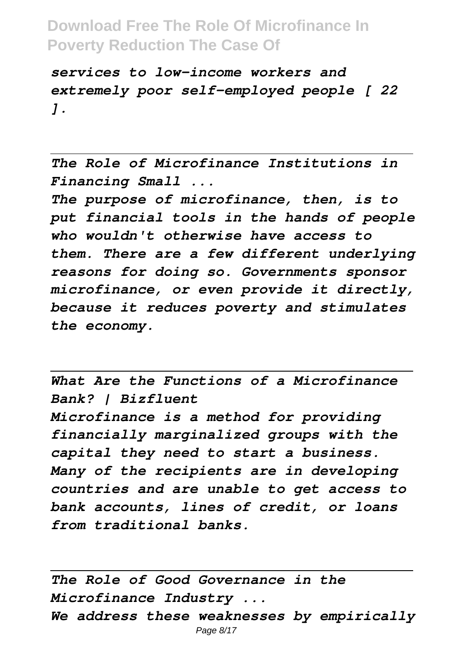*services to low-income workers and extremely poor self-employed people [ 22 ].*

*The Role of Microfinance Institutions in Financing Small ...*

*The purpose of microfinance, then, is to put financial tools in the hands of people who wouldn't otherwise have access to them. There are a few different underlying reasons for doing so. Governments sponsor microfinance, or even provide it directly, because it reduces poverty and stimulates the economy.*

*What Are the Functions of a Microfinance Bank? | Bizfluent Microfinance is a method for providing financially marginalized groups with the capital they need to start a business. Many of the recipients are in developing countries and are unable to get access to bank accounts, lines of credit, or loans from traditional banks.*

*The Role of Good Governance in the Microfinance Industry ... We address these weaknesses by empirically* Page 8/17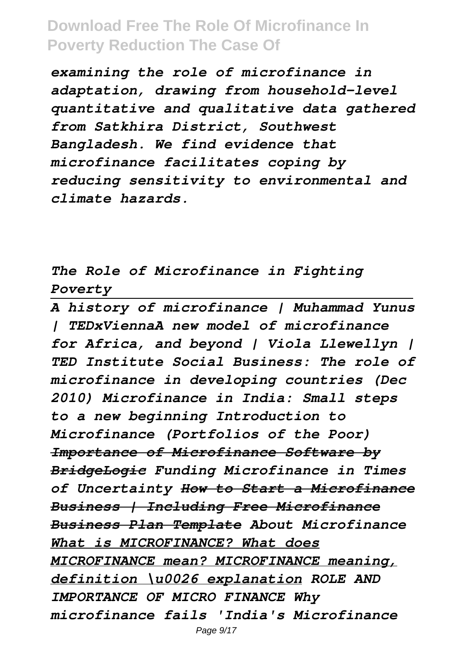*examining the role of microfinance in adaptation, drawing from household-level quantitative and qualitative data gathered from Satkhira District, Southwest Bangladesh. We find evidence that microfinance facilitates coping by reducing sensitivity to environmental and climate hazards.*

*The Role of Microfinance in Fighting Poverty*

*A history of microfinance | Muhammad Yunus | TEDxViennaA new model of microfinance for Africa, and beyond | Viola Llewellyn | TED Institute Social Business: The role of microfinance in developing countries (Dec 2010) Microfinance in India: Small steps to a new beginning Introduction to Microfinance (Portfolios of the Poor) Importance of Microfinance Software by BridgeLogic Funding Microfinance in Times of Uncertainty How to Start a Microfinance Business | Including Free Microfinance Business Plan Template About Microfinance What is MICROFINANCE? What does MICROFINANCE mean? MICROFINANCE meaning, definition \u0026 explanation ROLE AND IMPORTANCE OF MICRO FINANCE Why microfinance fails 'India's Microfinance*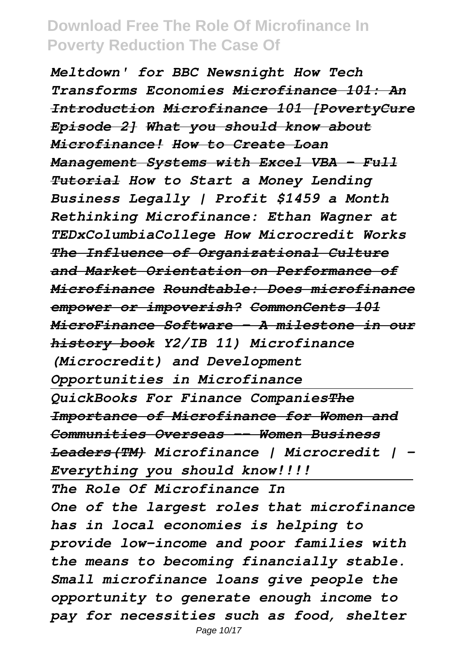*Meltdown' for BBC Newsnight How Tech Transforms Economies Microfinance 101: An Introduction Microfinance 101 [PovertyCure Episode 2] What you should know about Microfinance! How to Create Loan Management Systems with Excel VBA - Full Tutorial How to Start a Money Lending Business Legally | Profit \$1459 a Month Rethinking Microfinance: Ethan Wagner at TEDxColumbiaCollege How Microcredit Works The Influence of Organizational Culture and Market Orientation on Performance of Microfinance Roundtable: Does microfinance empower or impoverish? CommonCents 101 MicroFinance Software - A milestone in our history book Y2/IB 11) Microfinance (Microcredit) and Development Opportunities in Microfinance QuickBooks For Finance CompaniesThe Importance of Microfinance for Women and Communities Overseas -- Women Business Leaders(TM) Microfinance | Microcredit | - Everything you should know!!!! The Role Of Microfinance In One of the largest roles that microfinance has in local economies is helping to provide low-income and poor families with the means to becoming financially stable. Small microfinance loans give people the opportunity to generate enough income to pay for necessities such as food, shelter*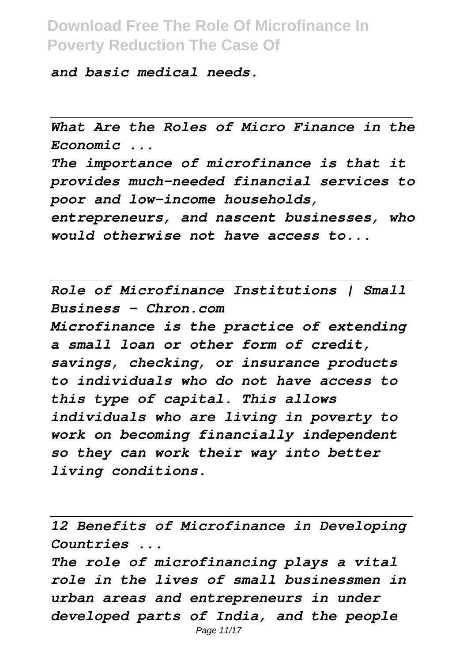*and basic medical needs.*

*What Are the Roles of Micro Finance in the Economic ...*

*The importance of microfinance is that it provides much-needed financial services to poor and low-income households,*

*entrepreneurs, and nascent businesses, who would otherwise not have access to...*

*Role of Microfinance Institutions | Small Business - Chron.com Microfinance is the practice of extending a small loan or other form of credit, savings, checking, or insurance products to individuals who do not have access to this type of capital. This allows individuals who are living in poverty to work on becoming financially independent so they can work their way into better living conditions.*

*12 Benefits of Microfinance in Developing Countries ...*

*The role of microfinancing plays a vital role in the lives of small businessmen in urban areas and entrepreneurs in under developed parts of India, and the people* Page 11/17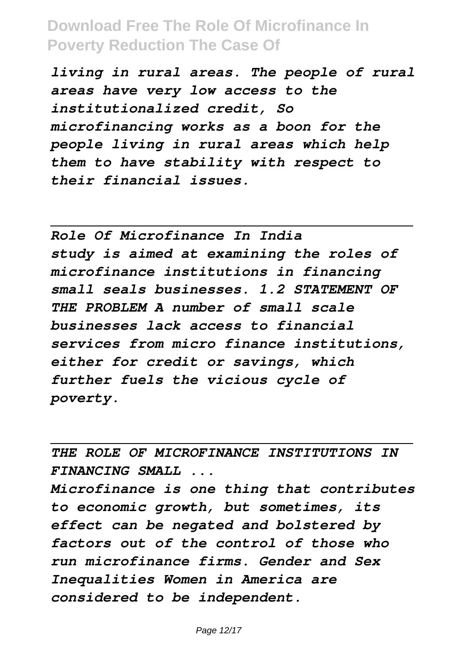*living in rural areas. The people of rural areas have very low access to the institutionalized credit, So microfinancing works as a boon for the people living in rural areas which help them to have stability with respect to their financial issues.*

*Role Of Microfinance In India study is aimed at examining the roles of microfinance institutions in financing small seals businesses. 1.2 STATEMENT OF THE PROBLEM A number of small scale businesses lack access to financial services from micro finance institutions, either for credit or savings, which further fuels the vicious cycle of poverty.*

*THE ROLE OF MICROFINANCE INSTITUTIONS IN FINANCING SMALL ...*

*Microfinance is one thing that contributes to economic growth, but sometimes, its effect can be negated and bolstered by factors out of the control of those who run microfinance firms. Gender and Sex Inequalities Women in America are considered to be independent.*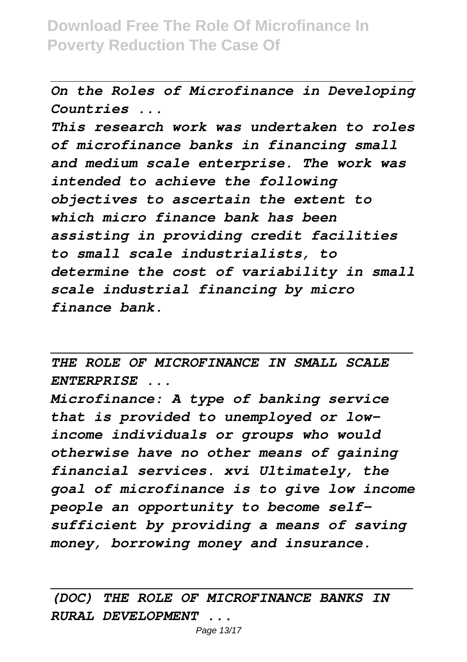*On the Roles of Microfinance in Developing Countries ...*

*This research work was undertaken to roles of microfinance banks in financing small and medium scale enterprise. The work was intended to achieve the following objectives to ascertain the extent to which micro finance bank has been assisting in providing credit facilities to small scale industrialists, to determine the cost of variability in small scale industrial financing by micro finance bank.*

*THE ROLE OF MICROFINANCE IN SMALL SCALE ENTERPRISE ...*

*Microfinance: A type of banking service that is provided to unemployed or lowincome individuals or groups who would otherwise have no other means of gaining financial services. xvi Ultimately, the goal of microfinance is to give low income people an opportunity to become selfsufficient by providing a means of saving money, borrowing money and insurance.*

#### *(DOC) THE ROLE OF MICROFINANCE BANKS IN RURAL DEVELOPMENT ...*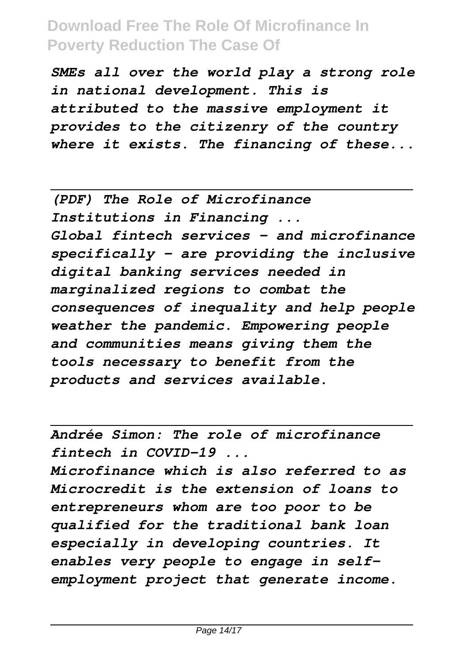*SMEs all over the world play a strong role in national development. This is attributed to the massive employment it provides to the citizenry of the country where it exists. The financing of these...*

*(PDF) The Role of Microfinance Institutions in Financing ... Global fintech services – and microfinance specifically – are providing the inclusive digital banking services needed in marginalized regions to combat the consequences of inequality and help people weather the pandemic. Empowering people and communities means giving them the tools necessary to benefit from the products and services available.*

*Andrée Simon: The role of microfinance fintech in COVID-19 ...*

*Microfinance which is also referred to as Microcredit is the extension of loans to entrepreneurs whom are too poor to be qualified for the traditional bank loan especially in developing countries. It enables very people to engage in selfemployment project that generate income.*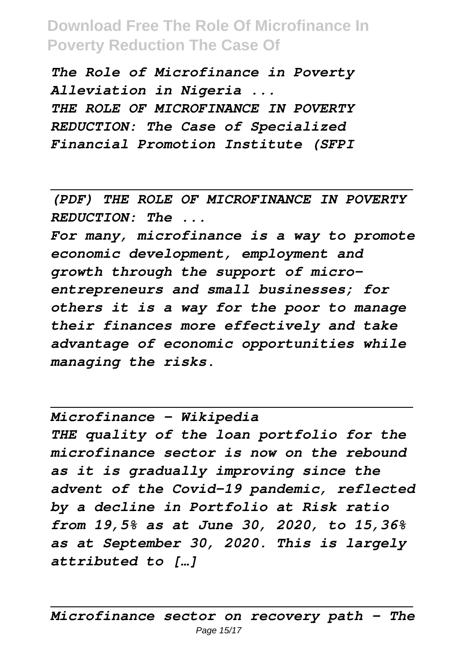*The Role of Microfinance in Poverty Alleviation in Nigeria ... THE ROLE OF MICROFINANCE IN POVERTY REDUCTION: The Case of Specialized Financial Promotion Institute (SFPI*

*(PDF) THE ROLE OF MICROFINANCE IN POVERTY REDUCTION: The ...*

*For many, microfinance is a way to promote economic development, employment and growth through the support of microentrepreneurs and small businesses; for others it is a way for the poor to manage their finances more effectively and take advantage of economic opportunities while managing the risks.*

*Microfinance - Wikipedia THE quality of the loan portfolio for the microfinance sector is now on the rebound as it is gradually improving since the advent of the Covid-19 pandemic, reflected by a decline in Portfolio at Risk ratio from 19,5% as at June 30, 2020, to 15,36% as at September 30, 2020. This is largely attributed to […]*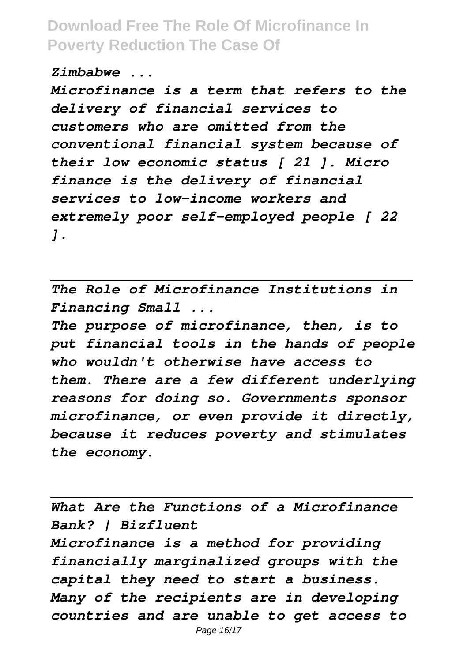*Zimbabwe ...*

*Microfinance is a term that refers to the delivery of financial services to customers who are omitted from the conventional financial system because of their low economic status [ 21 ]. Micro finance is the delivery of financial services to low-income workers and extremely poor self-employed people [ 22 ].*

*The Role of Microfinance Institutions in Financing Small ...*

*The purpose of microfinance, then, is to put financial tools in the hands of people who wouldn't otherwise have access to them. There are a few different underlying reasons for doing so. Governments sponsor microfinance, or even provide it directly, because it reduces poverty and stimulates the economy.*

*What Are the Functions of a Microfinance Bank? | Bizfluent Microfinance is a method for providing financially marginalized groups with the capital they need to start a business. Many of the recipients are in developing countries and are unable to get access to*